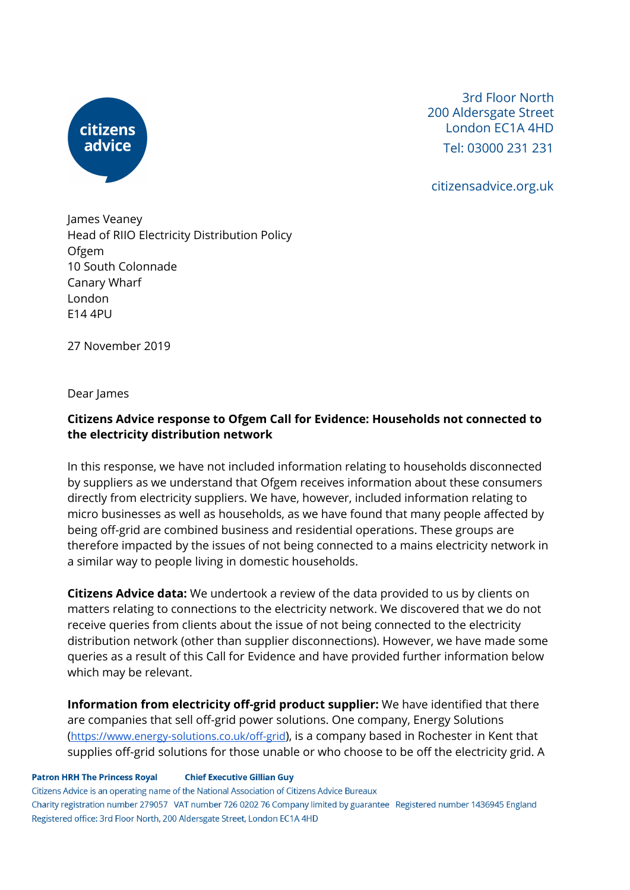

3rd Floor North 200 Aldersgate Street London EC1A 4HD Tel: 03000 231 231

citizensadvice.org.uk

James Veaney Head of RIIO Electricity Distribution Policy Ofgem 10 South Colonnade Canary Wharf London E14 4PU

27 November 2019

Dear James

# **Citizens Advice response to Ofgem Call for Evidence: Households not connected to the electricity distribution network**

In this response, we have not included information relating to households disconnected by suppliers as we understand that Ofgem receives information about these consumers directly from electricity suppliers. We have, however, included information relating to micro businesses as well as households, as we have found that many people affected by being off-grid are combined business and residential operations. These groups are therefore impacted by the issues of not being connected to a mains electricity network in a similar way to people living in domestic households.

**Citizens Advice data:** We undertook a review of the data provided to us by clients on matters relating to connections to the electricity network. We discovered that we do not receive queries from clients about the issue of not being connected to the electricity distribution network (other than supplier disconnections). However, we have made some queries as a result of this Call for Evidence and have provided further information below which may be relevant.

**Information from electricity off-grid product supplier:** We have identified that there are companies that sell off-grid power solutions. One company, Energy Solutions (<https://www.energy-solutions.co.uk/off-grid>), is a company based in Rochester in Kent that supplies off-grid solutions for those unable or who choose to be off the electricity grid. A

**Patron HRH The Princess Royal Chief Executive Gillian Guy** 

Citizens Advice is an operating name of the National Association of Citizens Advice Bureaux Charity registration number 279057 VAT number 726 0202 76 Company limited by guarantee Registered number 1436945 England Registered office: 3rd Floor North, 200 Aldersgate Street, London EC1A 4HD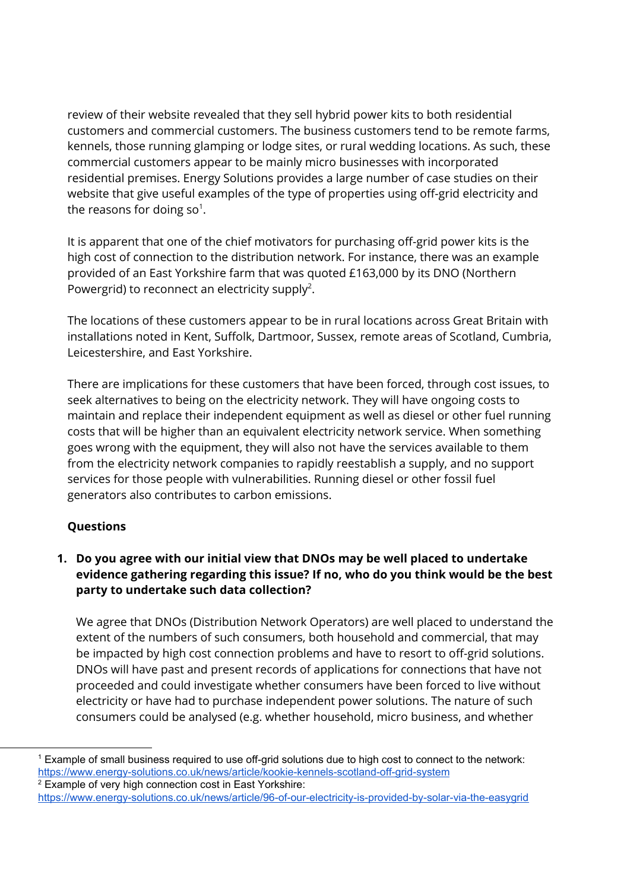review of their website revealed that they sell hybrid power kits to both residential customers and commercial customers. The business customers tend to be remote farms, kennels, those running glamping or lodge sites, or rural wedding locations. As such, these commercial customers appear to be mainly micro businesses with incorporated residential premises. Energy Solutions provides a large number of case studies on their website that give useful examples of the type of properties using off-grid electricity and the reasons for doing so<sup>1</sup>.

It is apparent that one of the chief motivators for purchasing off-grid power kits is the high cost of connection to the distribution network. For instance, there was an example provided of an East Yorkshire farm that was quoted £163,000 by its DNO (Northern Powergrid) to reconnect an electricity supply<sup>2</sup>.

The locations of these customers appear to be in rural locations across Great Britain with installations noted in Kent, Suffolk, Dartmoor, Sussex, remote areas of Scotland, Cumbria, Leicestershire, and East Yorkshire.

There are implications for these customers that have been forced, through cost issues, to seek alternatives to being on the electricity network. They will have ongoing costs to maintain and replace their independent equipment as well as diesel or other fuel running costs that will be higher than an equivalent electricity network service. When something goes wrong with the equipment, they will also not have the services available to them from the electricity network companies to rapidly reestablish a supply, and no support services for those people with vulnerabilities. Running diesel or other fossil fuel generators also contributes to carbon emissions.

### **Questions**

# **1. Do you agree with our initial view that DNOs may be well placed to undertake evidence gathering regarding this issue? If no, who do you think would be the best party to undertake such data collection?**

We agree that DNOs (Distribution Network Operators) are well placed to understand the extent of the numbers of such consumers, both household and commercial, that may be impacted by high cost connection problems and have to resort to off-grid solutions. DNOs will have past and present records of applications for connections that have not proceeded and could investigate whether consumers have been forced to live without electricity or have had to purchase independent power solutions. The nature of such consumers could be analysed (e.g. whether household, micro business, and whether

<sup>1</sup> Example of small business required to use off-grid solutions due to high cost to connect to the network: <https://www.energy-solutions.co.uk/news/article/kookie-kennels-scotland-off-grid-system>

 $2$  Example of very high connection cost in East Yorkshire: <https://www.energy-solutions.co.uk/news/article/96-of-our-electricity-is-provided-by-solar-via-the-easygrid>